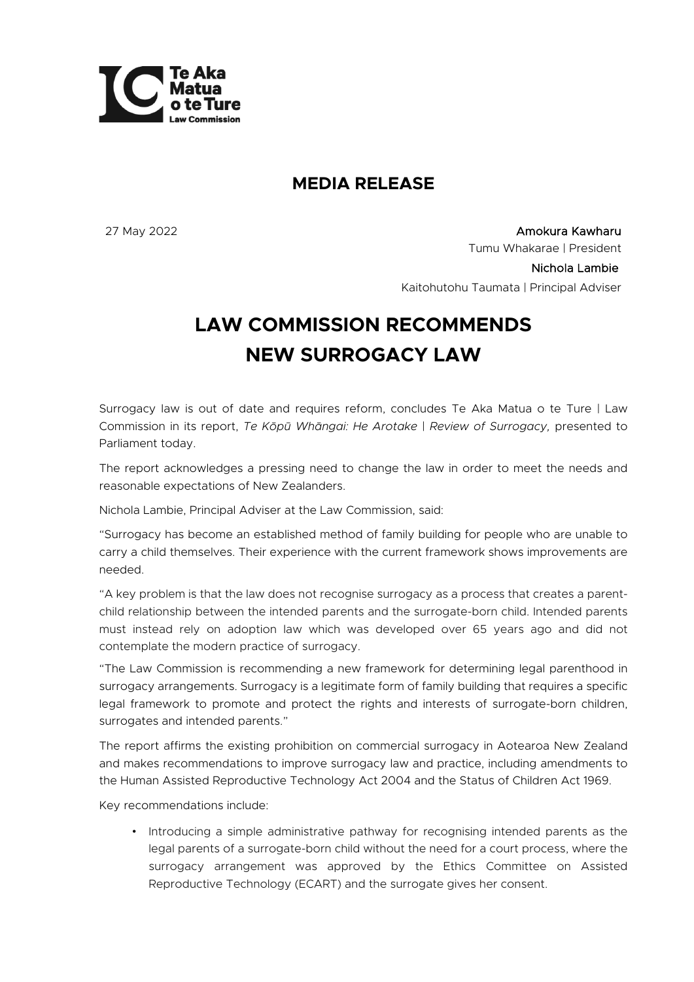

## **MEDIA RELEASE**

27 May 2022 Amokura Kawharu Tumu Whakarae | President Nichola Lambie Kaitohutohu Taumata | Principal Adviser

## **LAW COMMISSION RECOMMENDS NEW SURROGACY LAW**

Surrogacy law is out of date and requires reform, concludes Te Aka Matua o te Ture | Law Commission in its report, *Te Kōpū Whāngai: He Arotake* | *Review of Surrogacy,* presented to Parliament today.

The report acknowledges a pressing need to change the law in order to meet the needs and reasonable expectations of New Zealanders.

Nichola Lambie, Principal Adviser at the Law Commission, said:

"Surrogacy has become an established method of family building for people who are unable to carry a child themselves. Their experience with the current framework shows improvements are needed.

"A key problem is that the law does not recognise surrogacy as a process that creates a parentchild relationship between the intended parents and the surrogate-born child. Intended parents must instead rely on adoption law which was developed over 65 years ago and did not contemplate the modern practice of surrogacy.

"The Law Commission is recommending a new framework for determining legal parenthood in surrogacy arrangements. Surrogacy is a legitimate form of family building that requires a specific legal framework to promote and protect the rights and interests of surrogate-born children, surrogates and intended parents."

The report affirms the existing prohibition on commercial surrogacy in Aotearoa New Zealand and makes recommendations to improve surrogacy law and practice, including amendments to the Human Assisted Reproductive Technology Act 2004 and the Status of Children Act 1969.

Key recommendations include:

• Introducing a simple administrative pathway for recognising intended parents as the legal parents of a surrogate-born child without the need for a court process, where the surrogacy arrangement was approved by the Ethics Committee on Assisted Reproductive Technology (ECART) and the surrogate gives her consent.